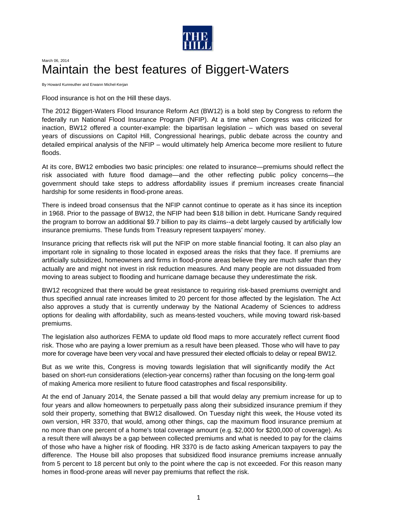

## March 06, 2014 Maintain the best features of Biggert-Waters

By Howard Kunreuther and Erwann Michel-Kerjan

Flood insurance is hot on the Hill these days.

The 2012 Biggert-Waters Flood Insurance Reform Act (BW12) is a bold step by Congress to reform the federally run National Flood Insurance Program (NFIP). At a time when Congress was criticized for inaction, BW12 offered a counter-example: the bipartisan legislation – which was based on several years of discussions on Capitol Hill, Congressional hearings, public debate across the country and detailed empirical analysis of the NFIP – would ultimately help America become more resilient to future floods.

At its core, BW12 embodies two basic principles: one related to insurance—premiums should reflect the risk associated with future flood damage—and the other reflecting public policy concerns—the government should take steps to address affordability issues if premium increases create financial hardship for some residents in flood-prone areas.

There is indeed broad consensus that the NFIP cannot continue to operate as it has since its inception in 1968. Prior to the passage of BW12, the NFIP had been \$18 billion in debt. Hurricane Sandy required the program to borrow an additional \$9.7 billion to pay its claims--a debt largely caused by artificially low insurance premiums. These funds from Treasury represent taxpayers' money.

Insurance pricing that reflects risk will put the NFIP on more stable financial footing. It can also play an important role in signaling to those located in exposed areas the risks that they face. If premiums are artificially subsidized, homeowners and firms in flood-prone areas believe they are much safer than they actually are and might not invest in risk reduction measures. And many people are not dissuaded from moving to areas subject to flooding and hurricane damage because they underestimate the risk.

BW12 recognized that there would be great resistance to requiring risk-based premiums overnight and thus specified annual rate increases limited to 20 percent for those affected by the legislation. The Act also approves a study that is currently underway by the National Academy of Sciences to address options for dealing with affordability, such as means-tested vouchers, while moving toward risk-based premiums.

The legislation also authorizes FEMA to update old flood maps to more accurately reflect current flood risk. Those who are paying a lower premium as a result have been pleased. Those who will have to pay more for coverage have been very vocal and have pressured their elected officials to delay or repeal BW12.

But as we write this, Congress is moving towards legislation that will significantly modify the Act based on short-run considerations (election-year concerns) rather than focusing on the long-term goal of making America more resilient to future flood catastrophes and fiscal responsibility.

At the end of January 2014, the Senate passed a bill that would delay any premium increase for up to four years and allow homeowners to perpetually pass along their subsidized insurance premium if they sold their property, something that BW12 disallowed. On Tuesday night this week, the House voted its own version, HR 3370, that would, among other things, cap the maximum flood insurance premium at no more than one percent of a home's total coverage amount (e.g. \$2,000 for \$200,000 of coverage). As a result there will always be a gap between collected premiums and what is needed to pay for the claims of those who have a higher risk of flooding. HR 3370 is de facto asking American taxpayers to pay the difference. The House bill also proposes that subsidized flood insurance premiums increase annually from 5 percent to 18 percent but only to the point where the cap is not exceeded. For this reason many homes in flood-prone areas will never pay premiums that reflect the risk.